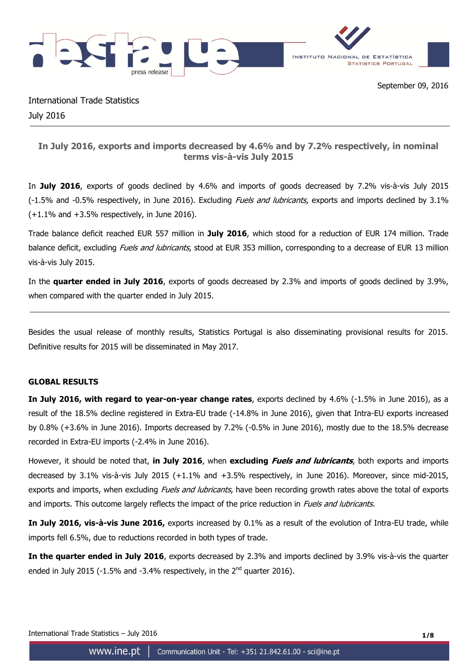

International Trade Statistics July 2016

# **In July 2016, exports and imports decreased by 4.6% and by 7.2% respectively, in nominal terms vis-à-vis July 2015**

In **July 2016**, exports of goods declined by 4.6% and imports of goods decreased by 7.2% vis-à-vis July 2015 (-1.5% and -0.5% respectively, in June 2016). Excluding *Fuels and lubricants*, exports and imports declined by 3.1%  $(+1.1\%$  and  $+3.5\%$  respectively, in June 2016).

Trade balance deficit reached EUR 557 million in **July 2016**, which stood for a reduction of EUR 174 million. Trade balance deficit, excluding *Fuels and lubricants*, stood at EUR 353 million, corresponding to a decrease of EUR 13 million vis-à-vis July 2015.

In the **quarter ended in July 2016**, exports of goods decreased by 2.3% and imports of goods declined by 3.9%, when compared with the quarter ended in July 2015.

Besides the usual release of monthly results, Statistics Portugal is also disseminating provisional results for 2015. Definitive results for 2015 will be disseminated in May 2017.

### **GLOBAL RESULTS**

**In July 2016, with regard to year-on-year change rates**, exports declined by 4.6% (-1.5% in June 2016), as a result of the 18.5% decline registered in Extra-EU trade (-14.8% in June 2016), given that Intra-EU exports increased by 0.8% (+3.6% in June 2016). Imports decreased by 7.2% (-0.5% in June 2016), mostly due to the 18.5% decrease recorded in Extra-EU imports (-2.4% in June 2016).

However, it should be noted that, **in July 2016**, when **excluding Fuels and lubricants**, both exports and imports decreased by 3.1% vis-à-vis July 2015 (+1.1% and +3.5% respectively, in June 2016). Moreover, since mid-2015, exports and imports, when excluding *Fuels and lubricants*, have been recording growth rates above the total of exports and imports. This outcome largely reflects the impact of the price reduction in *Fuels and lubricants*.

**In July 2016, vis-à-vis June 2016,** exports increased by 0.1% as a result of the evolution of Intra-EU trade, while imports fell 6.5%, due to reductions recorded in both types of trade.

**In the quarter ended in July 2016**, exports decreased by 2.3% and imports declined by 3.9% vis-à-vis the quarter ended in July 2015 (-1.5% and -3.4% respectively, in the  $2^{nd}$  quarter 2016).

International Trade Statistics – July 2016 **1/8**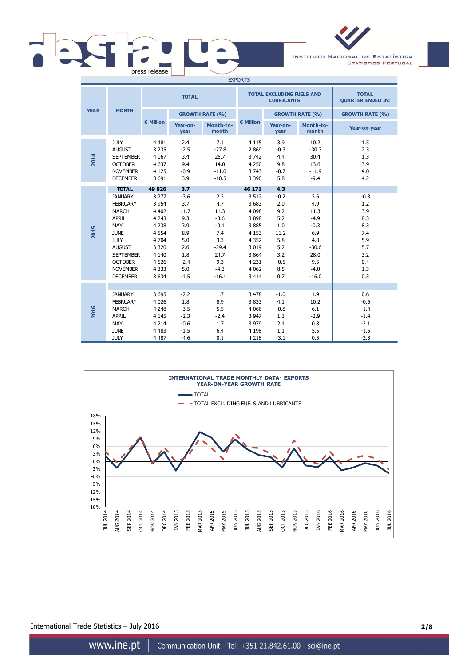# $\vert$   $\vert$  $\overline{\phantom{0}}$ press release

INSTITUTO NACIONAL DE ESTATÍSTICA **STATISTICS PORTUGAL** 

| <b>EXPORTS</b> |                                                                                                                                                                                              |                                                                                                                               |                                                                                            |                                                                                                     |                                                                                                                            |                                                                                         |                                                                                                     |                                                                                     |
|----------------|----------------------------------------------------------------------------------------------------------------------------------------------------------------------------------------------|-------------------------------------------------------------------------------------------------------------------------------|--------------------------------------------------------------------------------------------|-----------------------------------------------------------------------------------------------------|----------------------------------------------------------------------------------------------------------------------------|-----------------------------------------------------------------------------------------|-----------------------------------------------------------------------------------------------------|-------------------------------------------------------------------------------------|
|                |                                                                                                                                                                                              | <b>TOTAL</b>                                                                                                                  |                                                                                            |                                                                                                     |                                                                                                                            | <b>TOTAL EXCLUDING FUELS AND</b><br><b>LUBRICANTS</b>                                   | <b>TOTAL</b><br><b>QUARTER ENDED IN:</b>                                                            |                                                                                     |
| <b>YEAR</b>    | <b>MONTH</b>                                                                                                                                                                                 |                                                                                                                               |                                                                                            | <b>GROWTH RATE (%)</b>                                                                              |                                                                                                                            |                                                                                         | <b>GROWTH RATE (%)</b>                                                                              | <b>GROWTH RATE (%)</b>                                                              |
|                |                                                                                                                                                                                              | € Million                                                                                                                     | Year-on-<br>year                                                                           | Month-to-<br>month                                                                                  | € Million                                                                                                                  | Year-on-<br>year                                                                        | Month-to-<br>month                                                                                  | Year-on-year                                                                        |
| 2014           | <b>JULY</b><br><b>AUGUST</b><br><b>SEPTEMBER</b><br><b>OCTOBER</b><br><b>NOVEMBER</b><br><b>DECEMBER</b>                                                                                     | 4 4 8 1<br>3 2 3 5<br>4 0 67<br>4 6 3 7<br>4 1 2 5<br>3 6 9 1                                                                 | 2.4<br>$-2.5$<br>3.4<br>9.4<br>$-0.9$<br>3.9                                               | 7.1<br>$-27.8$<br>25.7<br>14.0<br>$-11.0$<br>$-10.5$                                                | 4 1 1 5<br>2869<br>3742<br>4 2 5 0<br>3 7 4 3<br>3 3 9 0                                                                   | 3.9<br>$-0.3$<br>4.4<br>9.8<br>$-0.7$<br>5.8                                            | 10.2<br>$-30.3$<br>30.4<br>13.6<br>$-11.9$<br>$-9.4$                                                | 1.5<br>2.3<br>1.3<br>3.9<br>4.0<br>4.2                                              |
|                | <b>TOTAL</b>                                                                                                                                                                                 | 49826                                                                                                                         | 3.7                                                                                        |                                                                                                     | 46 171                                                                                                                     | 4.3                                                                                     |                                                                                                     |                                                                                     |
| 2015           | <b>JANUARY</b><br><b>FEBRUARY</b><br><b>MARCH</b><br>APRIL<br>MAY<br><b>JUNE</b><br><b>JULY</b><br><b>AUGUST</b><br><b>SEPTEMBER</b><br><b>OCTOBER</b><br><b>NOVEMBER</b><br><b>DECEMBER</b> | 3777<br>3 9 5 4<br>4 4 0 2<br>4 2 4 3<br>4 2 3 8<br>4 5 5 4<br>4 7 0 4<br>3 3 2 0<br>4 1 4 0<br>4 5 2 6<br>4 3 3 3<br>3 6 3 4 | $-3.6$<br>3.7<br>11.7<br>9.3<br>3.9<br>8.9<br>5.0<br>2.6<br>1.8<br>$-2.4$<br>5.0<br>$-1.5$ | 2.3<br>4.7<br>11.3<br>$-3.6$<br>$-0.1$<br>7.4<br>3.3<br>$-29.4$<br>24.7<br>9.3<br>$-4.3$<br>$-16.1$ | 3 5 1 2<br>3 6 8 3<br>4 0 9 8<br>3898<br>3885<br>4 1 5 3<br>4 3 5 2<br>3 0 1 9<br>3 8 6 4<br>4 2 3 1<br>4 0 6 2<br>3 4 1 4 | $-0.2$<br>2.0<br>9.2<br>5.2<br>1.0<br>11.2<br>5.8<br>5.2<br>3.2<br>$-0.5$<br>8.5<br>0.7 | 3.6<br>4.9<br>11.3<br>$-4.9$<br>$-0.3$<br>6.9<br>4.8<br>$-30.6$<br>28.0<br>9.5<br>$-4.0$<br>$-16.0$ | $-0.3$<br>1.2<br>3.9<br>8.3<br>8.3<br>7.4<br>5.9<br>5.7<br>3.2<br>0.4<br>1.3<br>0.3 |
| 2016           | <b>JANUARY</b><br><b>FEBRUARY</b><br><b>MARCH</b><br>APRIL<br>MAY<br><b>JUNE</b><br><b>JULY</b>                                                                                              | 3 6 9 5<br>4 0 2 6<br>4 2 4 8<br>4 1 4 5<br>4 2 1 4<br>4 4 8 3<br>4 4 8 7                                                     | $-2.2$<br>1.8<br>$-3.5$<br>$-2.3$<br>$-0.6$<br>$-1.5$<br>$-4.6$                            | 1.7<br>8.9<br>5.5<br>$-2.4$<br>1.7<br>6.4<br>0.1                                                    | 3 4 7 8<br>3833<br>4 0 6 6<br>3 9 4 7<br>3 9 7 9<br>4 1 9 8<br>4 2 1 8                                                     | $-1.0$<br>4.1<br>$-0.8$<br>1.3<br>2.4<br>1.1<br>$-3.1$                                  | 1.9<br>10.2<br>6.1<br>$-2.9$<br>0.8<br>5.5<br>0.5                                                   | 0.6<br>$-0.6$<br>$-1.4$<br>$-1.4$<br>$-2.1$<br>$-1.5$<br>$-2.3$                     |



International Trade Statistics – July 2016 **2/8**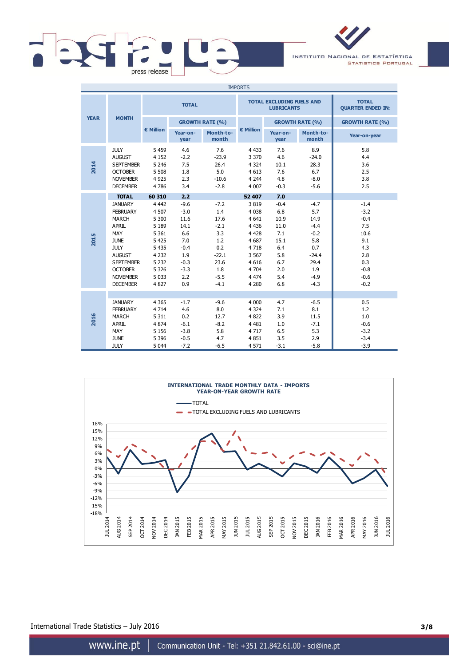

INSTITUTO NACIONAL DE ESTATÍSTICA **STATISTICS PORTUGAL** 

| <b>IMPORTS</b> |                                                                                                                                                                                                     |                                                                                                                               |                                                                                                   |                                                                                                    |                                                                                                                           |                                                                                        |                                                                                                       |                                                                                                     |
|----------------|-----------------------------------------------------------------------------------------------------------------------------------------------------------------------------------------------------|-------------------------------------------------------------------------------------------------------------------------------|---------------------------------------------------------------------------------------------------|----------------------------------------------------------------------------------------------------|---------------------------------------------------------------------------------------------------------------------------|----------------------------------------------------------------------------------------|-------------------------------------------------------------------------------------------------------|-----------------------------------------------------------------------------------------------------|
|                |                                                                                                                                                                                                     | <b>TOTAL</b>                                                                                                                  |                                                                                                   |                                                                                                    |                                                                                                                           | <b>TOTAL EXCLUDING FUELS AND</b><br><b>LUBRICANTS</b>                                  | <b>TOTAL</b><br><b>QUARTER ENDED IN:</b>                                                              |                                                                                                     |
| <b>YEAR</b>    | <b>MONTH</b>                                                                                                                                                                                        |                                                                                                                               |                                                                                                   | <b>GROWTH RATE (%)</b>                                                                             |                                                                                                                           |                                                                                        | <b>GROWTH RATE (%)</b>                                                                                | <b>GROWTH RATE (%)</b>                                                                              |
|                |                                                                                                                                                                                                     | € Million                                                                                                                     | Year-on-<br>year                                                                                  | Month-to-<br>month                                                                                 | € Million                                                                                                                 | Year-on-<br>year                                                                       | Month-to-<br>month                                                                                    | Year-on-year                                                                                        |
| 2014           | <b>JULY</b><br><b>AUGUST</b><br><b>SEPTEMBER</b><br><b>OCTOBER</b><br><b>NOVEMBER</b><br><b>DECEMBER</b>                                                                                            | 5 4 5 9<br>4 1 5 2<br>5 2 4 6<br>5 5 0 8<br>4 9 2 5<br>4786                                                                   | 4.6<br>$-2.2$<br>7.5<br>1.8<br>2.3<br>3.4                                                         | 7.6<br>$-23.9$<br>26.4<br>5.0<br>$-10.6$<br>$-2.8$                                                 | 4 4 3 3<br>3 3 7 0<br>4 3 2 4<br>4 6 1 3<br>4 2 4 4<br>4 0 0 7                                                            | 7.6<br>4.6<br>10.1<br>7.6<br>4.8<br>$-0.3$                                             | 8.9<br>$-24.0$<br>28.3<br>6.7<br>$-8.0$<br>$-5.6$                                                     | 5.8<br>4.4<br>3.6<br>2.5<br>3.8<br>2.5                                                              |
|                | <b>TOTAL</b>                                                                                                                                                                                        | 60 310                                                                                                                        | 2.2                                                                                               |                                                                                                    | 52 407                                                                                                                    | 7.0                                                                                    |                                                                                                       |                                                                                                     |
| 2015           | <b>JANUARY</b><br><b>FEBRUARY</b><br><b>MARCH</b><br><b>APRIL</b><br>MAY<br><b>JUNE</b><br><b>JULY</b><br><b>AUGUST</b><br><b>SEPTEMBER</b><br><b>OCTOBER</b><br><b>NOVEMBER</b><br><b>DECEMBER</b> | 4 4 4 2<br>4 5 0 7<br>5 300<br>5 1 8 9<br>5 3 6 1<br>5 4 2 5<br>5 4 3 5<br>4 2 3 2<br>5 2 3 2<br>5 3 2 6<br>5 0 3 3<br>4 8 27 | $-9.6$<br>$-3.0$<br>11.6<br>14.1<br>6.6<br>7.0<br>$-0.4$<br>1.9<br>$-0.3$<br>$-3.3$<br>2.2<br>0.9 | $-7.2$<br>1.4<br>17.6<br>$-2.1$<br>3.3<br>1.2<br>0.2<br>$-22.1$<br>23.6<br>1.8<br>$-5.5$<br>$-4.1$ | 3819<br>4 0 38<br>4 6 4 1<br>4 4 3 6<br>4 4 2 8<br>4 6 8 7<br>4718<br>3 5 6 7<br>4 6 1 6<br>4 7 0 4<br>4 4 7 4<br>4 2 8 0 | $-0.4$<br>6.8<br>10.9<br>11.0<br>7.1<br>15.1<br>6.4<br>5.8<br>6.7<br>2.0<br>5.4<br>6.8 | $-4.7$<br>5.7<br>14.9<br>$-4.4$<br>$-0.2$<br>5.8<br>0.7<br>$-24.4$<br>29.4<br>1.9<br>$-4.9$<br>$-4.3$ | $-1.4$<br>$-3.2$<br>$-0.4$<br>7.5<br>10.6<br>9.1<br>4.3<br>2.8<br>0.3<br>$-0.8$<br>$-0.6$<br>$-0.2$ |
| 2016           | <b>JANUARY</b><br><b>FEBRUARY</b><br><b>MARCH</b><br>APRIL<br>MAY<br><b>JUNE</b><br><b>JULY</b>                                                                                                     | 4 3 6 5<br>4 7 1 4<br>5 3 1 1<br>4 8 7 4<br>5 1 5 6<br>5 3 9 6<br>5 0 4 4                                                     | $-1.7$<br>4.6<br>0.2<br>$-6.1$<br>$-3.8$<br>$-0.5$<br>$-7.2$                                      | $-9.6$<br>8.0<br>12.7<br>$-8.2$<br>5.8<br>4.7<br>$-6.5$                                            | 4 0 0 0<br>4 3 2 4<br>4 8 22<br>4 4 8 1<br>4717<br>4851<br>4 5 7 1                                                        | 4.7<br>7.1<br>3.9<br>1.0<br>6.5<br>3.5<br>$-3.1$                                       | $-6.5$<br>8.1<br>11.5<br>$-7.1$<br>5.3<br>2.9<br>$-5.8$                                               | 0.5<br>1.2<br>1.0<br>$-0.6$<br>$-3.2$<br>$-3.4$<br>$-3.9$                                           |



International Trade Statistics – July 2016 **3/8**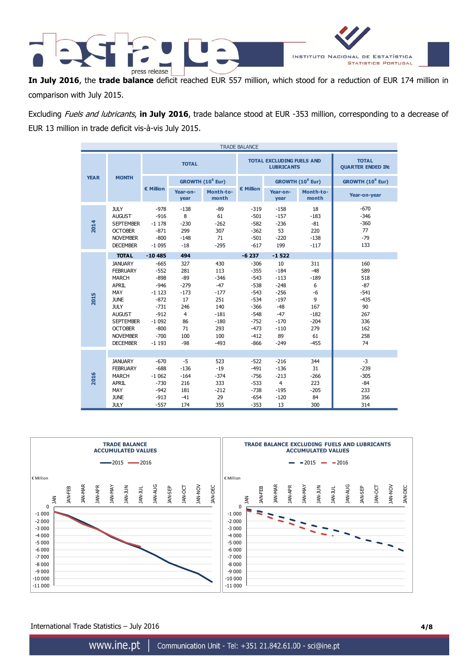

**In July 2016**, the **trade balance** deficit reached EUR 557 million, which stood for a reduction of EUR 174 million in comparison with July 2015.

Excluding Fuels and lubricants, **in July 2016**, trade balance stood at EUR -353 million, corresponding to a decrease of EUR 13 million in trade deficit vis-à-vis July 2015.

|             | <b>TRADE BALANCE</b> |                                                                                                                                                                                              |                                                                                                                         |                                                                                                    |                                                                                                   |                                                                                                                      |                                                                                                            |                                                                                            |                                                                                        |
|-------------|----------------------|----------------------------------------------------------------------------------------------------------------------------------------------------------------------------------------------|-------------------------------------------------------------------------------------------------------------------------|----------------------------------------------------------------------------------------------------|---------------------------------------------------------------------------------------------------|----------------------------------------------------------------------------------------------------------------------|------------------------------------------------------------------------------------------------------------|--------------------------------------------------------------------------------------------|----------------------------------------------------------------------------------------|
|             |                      |                                                                                                                                                                                              | <b>TOTAL</b>                                                                                                            |                                                                                                    |                                                                                                   |                                                                                                                      | <b>TOTAL EXCLUDING FUELS AND</b><br><b>LUBRICANTS</b>                                                      | <b>TOTAL</b><br><b>QUARTER ENDED IN:</b>                                                   |                                                                                        |
| <b>YEAR</b> |                      | <b>MONTH</b>                                                                                                                                                                                 |                                                                                                                         |                                                                                                    | GROWTH (10 <sup>6</sup> Eur)                                                                      |                                                                                                                      |                                                                                                            | GROWTH (10 <sup>6</sup> Eur)                                                               | GROWTH (10 <sup>6</sup> Eur)                                                           |
|             |                      |                                                                                                                                                                                              | € Million                                                                                                               | Year-on-<br>year                                                                                   | Month-to-<br>month                                                                                | € Million                                                                                                            | Year-on-<br>year                                                                                           | Month-to-<br>month                                                                         | Year-on-year                                                                           |
| 2014        |                      | <b>JULY</b><br><b>AUGUST</b><br><b>SEPTEMBER</b><br><b>OCTOBER</b><br><b>NOVEMBER</b><br><b>DECEMBER</b>                                                                                     | $-978$<br>$-916$<br>$-1178$<br>$-871$<br>$-800$<br>$-1095$                                                              | $-138$<br>8<br>$-230$<br>299<br>$-148$<br>$-18$                                                    | $-89$<br>61<br>$-262$<br>307<br>71<br>$-295$                                                      | $-319$<br>$-501$<br>$-582$<br>$-362$<br>$-501$<br>$-617$                                                             | $-158$<br>$-157$<br>$-236$<br>53<br>$-220$<br>199                                                          | 18<br>$-183$<br>$-81$<br>220<br>$-138$<br>$-117$                                           | $-670$<br>$-346$<br>$-360$<br>77<br>$-79$<br>133                                       |
|             |                      | <b>TOTAL</b>                                                                                                                                                                                 | $-10485$                                                                                                                | 494                                                                                                |                                                                                                   | $-6237$                                                                                                              | $-1522$                                                                                                    |                                                                                            |                                                                                        |
| <b>2015</b> |                      | <b>JANUARY</b><br><b>FEBRUARY</b><br><b>MARCH</b><br>APRIL<br>MAY<br><b>JUNE</b><br><b>JULY</b><br><b>AUGUST</b><br><b>SEPTEMBER</b><br><b>OCTOBER</b><br><b>NOVEMBER</b><br><b>DECEMBER</b> | $-665$<br>$-552$<br>$-898$<br>$-946$<br>$-1123$<br>$-872$<br>$-731$<br>$-912$<br>$-1092$<br>$-800$<br>$-700$<br>$-1193$ | 327<br>281<br>$-89$<br>$-279$<br>$-173$<br>17<br>246<br>$\overline{4}$<br>86<br>71<br>100<br>$-98$ | 430<br>113<br>$-346$<br>$-47$<br>$-177$<br>251<br>140<br>$-181$<br>$-180$<br>293<br>100<br>$-493$ | $-306$<br>$-355$<br>$-543$<br>$-538$<br>$-543$<br>$-534$<br>$-366$<br>$-548$<br>$-752$<br>$-473$<br>$-412$<br>$-866$ | 10<br>$-184$<br>$-113$<br>$-248$<br>$-256$<br>$-197$<br>$-48$<br>$-47$<br>$-170$<br>$-110$<br>89<br>$-249$ | 311<br>$-48$<br>$-189$<br>6<br>$-6$<br>9<br>167<br>$-182$<br>$-204$<br>279<br>61<br>$-455$ | 160<br>589<br>518<br>$-87$<br>$-541$<br>$-435$<br>90<br>267<br>336<br>162<br>258<br>74 |
| 2016        |                      | <b>JANUARY</b><br><b>FEBRUARY</b><br><b>MARCH</b><br><b>APRIL</b><br>MAY<br><b>JUNE</b><br><b>JULY</b>                                                                                       | $-670$<br>$-688$<br>$-1062$<br>$-730$<br>$-942$<br>$-913$<br>$-557$                                                     | $-5$<br>$-136$<br>$-164$<br>216<br>181<br>$-41$<br>174                                             | 523<br>$-19$<br>$-374$<br>333<br>$-212$<br>29<br>355                                              | $-522$<br>$-491$<br>$-756$<br>$-533$<br>$-738$<br>$-654$<br>$-353$                                                   | $-216$<br>$-136$<br>$-213$<br>$\overline{4}$<br>$-195$<br>$-120$<br>13                                     | 344<br>31<br>$-266$<br>223<br>$-205$<br>84<br>300                                          | $-3$<br>$-239$<br>$-305$<br>$-84$<br>233<br>356<br>314                                 |



International Trade Statistics – July 2016 **4/8**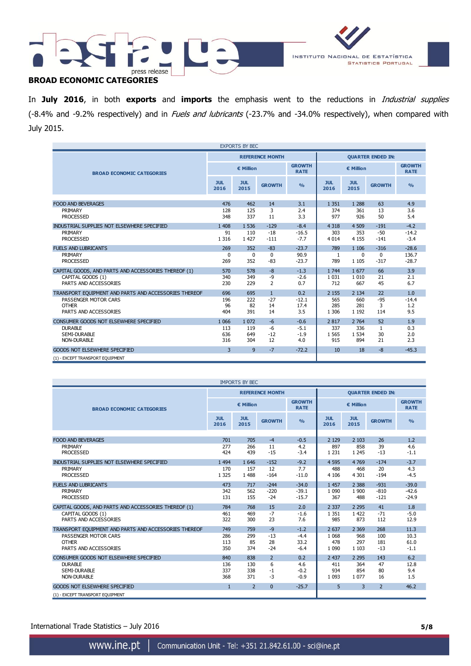



## **BROAD ECONOMIC CATEGORIES**

In **July 2016**, in both **exports** and **imports** the emphasis went to the reductions in Industrial supplies (-8.4% and -9.2% respectively) and in Fuels and lubricants (-23.7% and -34.0% respectively), when compared with July 2015.

| <b>EXPORTS BY BEC</b>                                 |                         |                    |                        |                              |                          |                    |               |                              |
|-------------------------------------------------------|-------------------------|--------------------|------------------------|------------------------------|--------------------------|--------------------|---------------|------------------------------|
|                                                       |                         |                    | <b>REFERENCE MONTH</b> |                              | <b>OUARTER ENDED IN:</b> |                    |               |                              |
| <b>BROAD ECONOMIC CATEGORIES</b>                      |                         | € Million          |                        | <b>GROWTH</b><br><b>RATE</b> | € Million                |                    |               | <b>GROWTH</b><br><b>RATE</b> |
|                                                       | <b>JUL</b><br>2016      | <b>JUL</b><br>2015 | <b>GROWTH</b>          | $\frac{0}{0}$                | <b>JUL</b><br>2016       | <b>JUL</b><br>2015 | <b>GROWTH</b> | $\frac{0}{0}$                |
| <b>FOOD AND BEVERAGES</b>                             | 476                     | 462                | 14                     | 3.1                          | 1 3 5 1                  | 1 2 8 8            | 63            | 4.9                          |
| PRIMARY                                               | 128                     | 125                | 3                      | 2.4                          | 374                      | 361                | 13            | 3.6                          |
|                                                       |                         | 337                |                        |                              | 977                      |                    |               | 5.4                          |
| <b>PROCESSED</b>                                      | 348                     |                    | 11                     | 3.3                          |                          | 926                | 50            |                              |
| INDUSTRIAL SUPPLIES NOT ELSEWHERE SPECIFIED           | 1 4 0 8                 | 1 536              | $-129$                 | $-8.4$                       | 4 3 1 8                  | 4 5 0 9            | $-191$        | $-4.2$                       |
| PRIMARY                                               | 91                      | 110                | $-18$                  | $-16.5$                      | 303                      | 353                | $-50$         | $-14.2$                      |
| <b>PROCESSED</b>                                      | 1 3 1 6                 | 1 4 2 7            | $-111$                 | $-7.7$                       | 4 0 1 4                  | 4 1 5 5            | $-141$        | $-3.4$                       |
|                                                       |                         |                    |                        |                              |                          |                    |               |                              |
| <b>FUELS AND LUBRICANTS</b>                           | 269                     | 352                | $-83$                  | $-23.7$                      | 789                      | 1 1 0 6            | $-316$        | $-28.6$                      |
| PRIMARY                                               | $\mathbf 0$             | 0                  | $\mathbf 0$            | 90.9                         | 1                        | $\Omega$           | $\Omega$      | 136.7                        |
| <b>PROCESSED</b>                                      | 269                     | 352                | $-83$                  | $-23.7$                      | 789                      | 1 1 0 5            | $-317$        | $-28.7$                      |
| CAPITAL GOODS, AND PARTS AND ACCESSORIES THEREOF (1)  | 570                     | 578                | $-8$                   | $-1.3$                       | 1 7 4 4                  | 1677               | 66            | 3.9                          |
| CAPITAL GOODS (1)                                     | 340                     | 349                | $-9$                   | $-2.6$                       | 1 0 3 1                  | 1 0 1 0            | 21            | 2.1                          |
| PARTS AND ACCESSORIES                                 | 230                     | 229                | $\overline{2}$         | 0.7                          | 712                      | 667                | 45            | 6.7                          |
|                                                       |                         |                    |                        |                              |                          |                    |               |                              |
| TRANSPORT EQUIPMENT AND PARTS AND ACCESSORIES THEREOF | 696                     | 695                | $\mathbf{1}$           | 0.2                          | 2 1 5 5                  | 2 1 3 4            | 22            | 1.0                          |
| PASSENGER MOTOR CARS                                  | 196                     | 222                | $-27$                  | $-12.1$                      | 565                      | 660                | $-95$         | $-14.4$                      |
| <b>OTHER</b>                                          | 96                      | 82                 | 14                     | 17.4                         | 285                      | 281                | 3             | 1.2                          |
| PARTS AND ACCESSORIES                                 | 404                     | 391                | 14                     | 3.5                          | 1 3 0 6                  | 1 1 9 2            | 114           | 9.5                          |
| CONSUMER GOODS NOT ELSEWHERE SPECIFIED                | 1 0 6 6                 | 1 0 7 2            | $-6$                   | $-0.6$                       | 2 8 1 7                  | 2 7 6 4            | 52            | 1.9                          |
| <b>DURABLE</b>                                        | 113                     | 119                | $-6$                   | $-5.1$                       | 337                      | 336                | $\mathbf{1}$  | 0.3                          |
| <b>SEMI-DURABLE</b>                                   | 636                     | 649                | $-12$                  | $-1.9$                       | 1 5 6 5                  | 1 5 3 4            | 30            | 2.0                          |
| <b>NON-DURABLE</b>                                    | 316                     | 304                | 12                     | 4.0                          | 915                      | 894                | 21            | 2.3                          |
| GOODS NOT ELSEWHERE SPECIFIED                         | $\overline{\mathbf{3}}$ | 9                  | $-7$                   | $-72.2$                      | 10                       | 18                 | $-8$          | $-45.3$                      |
| (1) - EXCEPT TRANSPORT EQUIPMENT                      |                         |                    |                        |                              |                          |                    |               |                              |

| <b>IMPORTS BY BEC</b>                                                    |                    |                    |                        |                              |                          |                    |                |                              |
|--------------------------------------------------------------------------|--------------------|--------------------|------------------------|------------------------------|--------------------------|--------------------|----------------|------------------------------|
|                                                                          |                    |                    | <b>REFERENCE MONTH</b> |                              | <b>QUARTER ENDED IN:</b> |                    |                |                              |
| <b>BROAD ECONOMIC CATEGORIES</b>                                         |                    | € Million          |                        | <b>GROWTH</b><br><b>RATE</b> | € Million                |                    |                | <b>GROWTH</b><br><b>RATE</b> |
|                                                                          | <b>JUL</b><br>2016 | <b>JUL</b><br>2015 | <b>GROWTH</b>          | $\frac{9}{6}$                | <b>JUL</b><br>2016       | <b>JUL</b><br>2015 | <b>GROWTH</b>  | $\frac{9}{6}$                |
| <b>FOOD AND BEVERAGES</b>                                                | 701                | 705                | $-4$                   | $-0.5$                       | 2 1 2 9                  | 2 1 0 3            | 26             | 1.2                          |
| PRIMARY                                                                  | 277                | 266                | 11                     | 4.2                          | 897                      | 858                | 39             | 4.6                          |
| <b>PROCESSED</b>                                                         | 424                | 439                | $-15$                  | $-3.4$                       | 1 2 3 1                  | 1 2 4 5            | $-13$          | $-1.1$                       |
| INDUSTRIAL SUPPLIES NOT ELSEWHERE SPECIFIED                              | 1 4 9 4            | 1 646              | $-152$                 | $-9.2$                       | 4 5 9 5                  | 4 7 6 9            | $-174$         | $-3.7$                       |
| PRIMARY                                                                  | 170                | 157                | 12                     | 7.7                          | 488                      | 468                | 20             | 4.3                          |
| <b>PROCESSED</b>                                                         | 1 3 2 5            | 1 4 8 8            | $-164$                 | $-11.0$                      | 4 1 0 6                  | 4 3 0 1            | $-194$         | $-4.5$                       |
| <b>FUELS AND LUBRICANTS</b>                                              | 473                | 717                | $-244$                 | $-34.0$                      | 1 4 5 7                  | 2 3 8 8            | $-931$         | $-39.0$                      |
| PRIMARY                                                                  | 342                | 562                | $-220$                 | $-39.1$                      | 1 0 9 0                  | 1 900              | $-810$         | $-42.6$                      |
| <b>PROCESSED</b>                                                         | 131                | 155                | $-24$                  | $-15.7$                      | 367                      | 488                | $-121$         | $-24.9$                      |
| CAPITAL GOODS, AND PARTS AND ACCESSORIES THEREOF (1)                     | 784                | 768                | 15                     | 2.0                          | 2 3 3 7                  | 2 2 9 5            | 41             | 1.8                          |
| CAPITAL GOODS (1)                                                        | 461                | 469                | $-7$                   | $-1.6$                       | 1 3 5 1                  | 1 4 2 2            | $-71$          | $-5.0$                       |
| PARTS AND ACCESSORIES                                                    | 322                | 300                | 23                     | 7.6                          | 985                      | 873                | 112            | 12.9                         |
| TRANSPORT EQUIPMENT AND PARTS AND ACCESSORIES THEREOF                    | 749                | 759                | $-9$                   | $-1.2$                       | 2 6 3 7                  | 2 3 6 9            | 268            | 11.3                         |
| PASSENGER MOTOR CARS                                                     | 286                | 299                | $-13$                  | $-4.4$                       | 1 0 6 8                  | 968                | 100            | 10.3                         |
| <b>OTHER</b>                                                             | 113                | 85                 | 28                     | 33.2                         | 478                      | 297                | 181            | 61.0                         |
| PARTS AND ACCESSORIES                                                    | 350                | 374                | $-24$                  | $-6.4$                       | 1 0 9 0                  | 1 1 0 3            | $-13$          | $-1.1$                       |
| CONSUMER GOODS NOT ELSEWHERE SPECIFIED                                   | 840                | 838                | $\overline{2}$         | 0.2                          | 2 4 3 7                  | 2 2 9 5            | 143            | 6.2                          |
| <b>DURABLE</b>                                                           | 136                | 130                | 6                      | 4.6                          | 411                      | 364                | 47             | 12.8                         |
| SEMI-DURABLE                                                             | 337                | 338                | $-1$                   | $-0.2$                       | 934                      | 854                | 80             | 9.4                          |
| <b>NON-DURABLE</b>                                                       | 368                | 371                | $-3$                   | $-0.9$                       | 1 0 9 3                  | 1 0 7 7            | 16             | 1.5                          |
| <b>GOODS NOT ELSEWHERE SPECIFIED</b><br>(1) - EXCEPT TRANSPORT EQUIPMENT | $\mathbf{1}$       | $\overline{2}$     | $\mathbf{0}$           | $-25.7$                      | 5                        | 3                  | $\overline{2}$ | 46.2                         |

International Trade Statistics – July 2016 **5/8**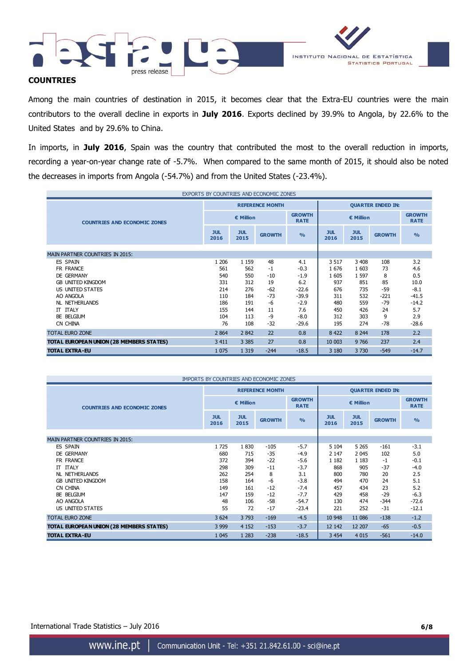

#### **COUNTRIES**

Among the main countries of destination in 2015, it becomes clear that the Extra-EU countries were the main contributors to the overall decline in exports in **July 2016**. Exports declined by 39.9% to Angola, by 22.6% to the United States and by 29.6% to China.

In imports, in **July 2016**, Spain was the country that contributed the most to the overall reduction in imports, recording a year-on-year change rate of -5.7%. When compared to the same month of 2015, it should also be noted the decreases in imports from Angola (-54.7%) and from the United States (-23.4%).

| EXPORTS BY COUNTRIES AND ECONOMIC ZONES  |                          |                    |                        |               |                          |                              |               |               |  |
|------------------------------------------|--------------------------|--------------------|------------------------|---------------|--------------------------|------------------------------|---------------|---------------|--|
|                                          |                          |                    | <b>REFERENCE MONTH</b> |               | <b>QUARTER ENDED IN:</b> |                              |               |               |  |
| <b>COUNTRIES AND ECONOMIC ZONES</b>      | € Million<br><b>RATE</b> |                    |                        | <b>GROWTH</b> |                          | <b>GROWTH</b><br><b>RATE</b> |               |               |  |
|                                          | <b>JUL</b><br>2016       | <b>JUL</b><br>2015 | <b>GROWTH</b>          | $\frac{0}{0}$ | <b>JUL</b><br>2016       | <b>JUL</b><br>2015           | <b>GROWTH</b> | $\frac{0}{0}$ |  |
|                                          |                          |                    |                        |               |                          |                              |               |               |  |
| <b>MAIN PARTNER COUNTRIES IN 2015:</b>   |                          |                    |                        |               |                          |                              |               |               |  |
| <b>ES SPAIN</b>                          | 1 2 0 6                  | 1 1 5 9            | 48                     | 4.1           | 3 5 1 7                  | 3 4 0 8                      | 108           | 3.2           |  |
| FR FRANCE                                | 561                      | 562                | $-1$                   | $-0.3$        | 1676                     | 1 603                        | 73            | 4.6           |  |
| DE GERMANY                               | 540                      | 550                | $-10$                  | $-1.9$        | 1 605                    | 1 5 9 7                      | 8             | 0.5           |  |
| <b>GB UNITED KINGDOM</b>                 | 331                      | 312                | 19                     | 6.2           | 937                      | 851                          | 85            | 10.0          |  |
| US UNITED STATES                         | 214                      | 276                | $-62$                  | $-22.6$       | 676                      | 735                          | -59           | $-8.1$        |  |
| AO ANGOLA                                | 110                      | 184                | $-73$                  | $-39.9$       | 311                      | 532                          | $-221$        | $-41.5$       |  |
| <b>NL NETHERLANDS</b>                    | 186                      | 191                | -6                     | $-2.9$        | 480                      | 559                          | $-79$         | $-14.2$       |  |
| <b>IT ITALY</b>                          | 155                      | 144                | 11                     | 7.6           | 450                      | 426                          | 24            | 5.7           |  |
| BE BELGIUM                               | 104                      | 113                | $-9$                   | $-8.0$        | 312                      | 303                          | 9             | 2.9           |  |
| CN CHINA                                 | 76                       | 108                | $-32$                  | $-29.6$       | 195                      | 274                          | -78           | $-28.6$       |  |
| <b>TOTAL EURO ZONE</b>                   | 2 8 6 4                  | 2842               | 22                     | 0.8           | 8 4 2 2                  | 8 2 4 4                      | 178           | 2.2           |  |
| TOTAL EUROPEAN UNION (28 MEMBERS STATES) | 3 4 1 1                  | 3 3 8 5            | 27                     | 0.8           | 10 003                   | 9766                         | 237           | 2.4           |  |
| <b>TOTAL EXTRA-EU</b>                    | 1 0 7 5                  | 1 3 1 9            | $-244$                 | $-18.5$       | 3 1 8 0                  | 3730                         | $-549$        | $-14.7$       |  |

| IMPORTS BY COUNTRIES AND ECONOMIC ZONES  |                    |                    |                        |                              |                          |                    |               |                              |
|------------------------------------------|--------------------|--------------------|------------------------|------------------------------|--------------------------|--------------------|---------------|------------------------------|
|                                          |                    |                    | <b>REFERENCE MONTH</b> |                              | <b>QUARTER ENDED IN:</b> |                    |               |                              |
| <b>COUNTRIES AND ECONOMIC ZONES</b>      |                    | € Million          |                        | <b>GROWTH</b><br><b>RATE</b> |                          | € Million          |               | <b>GROWTH</b><br><b>RATE</b> |
|                                          | <b>JUL</b><br>2016 | <b>JUL</b><br>2015 | <b>GROWTH</b>          | O <sub>0</sub>               | <b>JUL</b><br>2016       | <b>JUL</b><br>2015 | <b>GROWTH</b> | $\frac{9}{6}$                |
|                                          |                    |                    |                        |                              |                          |                    |               |                              |
| <b>MAIN PARTNER COUNTRIES IN 2015:</b>   |                    |                    |                        |                              |                          |                    |               |                              |
| <b>ES SPAIN</b>                          | 1725               | 1830               | $-105$                 | $-5.7$                       | 5 1 0 4                  | 5 2 6 5            | $-161$        | $-3.1$                       |
| DE GERMANY                               | 680                | 715                | $-35$                  | $-4.9$                       | 2 1 4 7                  | 2 0 4 5            | 102           | 5.0                          |
| FR FRANCE                                | 372                | 394                | $-22$                  | $-5.6$                       | 1 1 8 2                  | 1 1 8 3            | $-1$          | $-0.1$                       |
| <b>IT ITALY</b>                          | 298                | 309                | $-11$                  | $-3.7$                       | 868                      | 905                | $-37$         | $-4.0$                       |
| NL NETHERLANDS                           | 262                | 254                | 8                      | 3.1                          | 800                      | 780                | 20            | 2.5                          |
| <b>GB UNITED KINGDOM</b>                 | 158                | 164                | -6                     | $-3.8$                       | 494                      | 470                | 24            | 5.1                          |
| CN CHINA                                 | 149                | 161                | $-12$                  | $-7.4$                       | 457                      | 434                | 23            | 5.2                          |
| BE BELGIUM                               | 147                | 159                | $-12$                  | $-7.7$                       | 429                      | 458                | $-29$         | $-6.3$                       |
| AO ANGOLA                                | 48                 | 106                | $-58$                  | $-54.7$                      | 130                      | 474                | $-344$        | $-72.6$                      |
| US UNITED STATES                         | 55                 | 72                 | $-17$                  | $-23.4$                      | 221                      | 252                | $-31$         | $-12.1$                      |
| <b>TOTAL EURO ZONE</b>                   | 3 6 24             | 3793               | $-169$                 | $-4.5$                       | 10 948                   | 11 086             | $-138$        | $-1.2$                       |
| TOTAL EUROPEAN UNION (28 MEMBERS STATES) | 3 9 9 9            | 4 1 5 2            | $-153$                 | $-3.7$                       | 12 142                   | 12 207             | $-65$         | $-0.5$                       |
| <b>TOTAL EXTRA-EU</b>                    | 1 0 4 5            | 1 2 8 3            | $-238$                 | $-18.5$                      | 3 4 5 4                  | 4 0 1 5            | $-561$        | $-14.0$                      |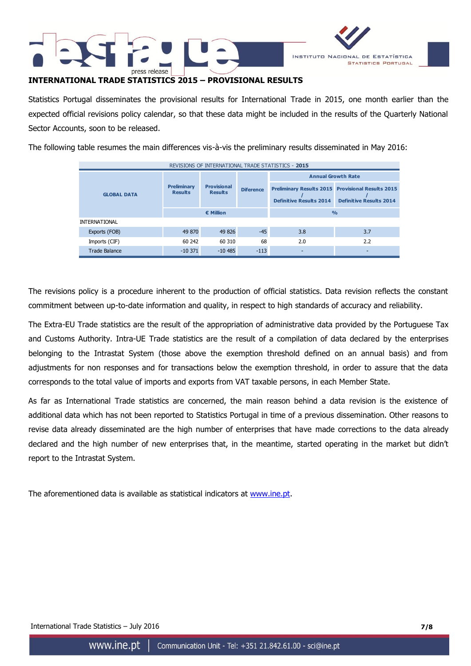



### **INTERNATIONAL TRADE STATISTICS 2015 – PROVISIONAL RESULTS**

Statistics Portugal disseminates the provisional results for International Trade in 2015, one month earlier than the expected official revisions policy calendar, so that these data might be included in the results of the Quarterly National Sector Accounts, soon to be released.

The following table resumes the main differences vis-à-vis the preliminary results disseminated in May 2016:

| REVISIONS OF INTERNATIONAL TRADE STATISTICS - 2015 |                                      |                                      |                  |                                |                                                                                            |  |  |  |  |
|----------------------------------------------------|--------------------------------------|--------------------------------------|------------------|--------------------------------|--------------------------------------------------------------------------------------------|--|--|--|--|
|                                                    |                                      |                                      |                  | <b>Annual Growth Rate</b>      |                                                                                            |  |  |  |  |
| <b>GLOBAL DATA</b>                                 | <b>Preliminary</b><br><b>Results</b> | <b>Provisional</b><br><b>Results</b> | <b>Diference</b> | <b>Definitive Results 2014</b> | <b>Preliminary Results 2015 Provisional Results 2015</b><br><b>Definitive Results 2014</b> |  |  |  |  |
|                                                    |                                      | $\epsilon$ Million                   |                  | O <sub>0</sub>                 |                                                                                            |  |  |  |  |
| <b>INTERNATIONAL</b>                               |                                      |                                      |                  |                                |                                                                                            |  |  |  |  |
| Exports (FOB)                                      | 49 870                               | 49 826                               | $-45$            | 3.8                            | 3.7                                                                                        |  |  |  |  |
| Imports (CIF)                                      | 60 242                               | 60 310                               | 68               | 2.0                            | 2.2                                                                                        |  |  |  |  |
| <b>Trade Balance</b>                               | $-10371$                             | $-10.485$                            | $-113$           |                                |                                                                                            |  |  |  |  |

The revisions policy is a procedure inherent to the production of official statistics. Data revision reflects the constant commitment between up-to-date information and quality, in respect to high standards of accuracy and reliability.

The Extra-EU Trade statistics are the result of the appropriation of administrative data provided by the Portuguese Tax and Customs Authority. Intra-UE Trade statistics are the result of a compilation of data declared by the enterprises belonging to the Intrastat System (those above the exemption threshold defined on an annual basis) and from adjustments for non responses and for transactions below the exemption threshold, in order to assure that the data corresponds to the total value of imports and exports from VAT taxable persons, in each Member State.

As far as International Trade statistics are concerned, the main reason behind a data revision is the existence of additional data which has not been reported to Statistics Portugal in time of a previous dissemination. Other reasons to revise data already disseminated are the high number of enterprises that have made corrections to the data already declared and the high number of new enterprises that, in the meantime, started operating in the market but didn't report to the Intrastat System.

The aforementioned data is available as statistical indicators at [www.ine.pt.](http://www.ine.pt/)

International Trade Statistics – July 2016 **7/8**